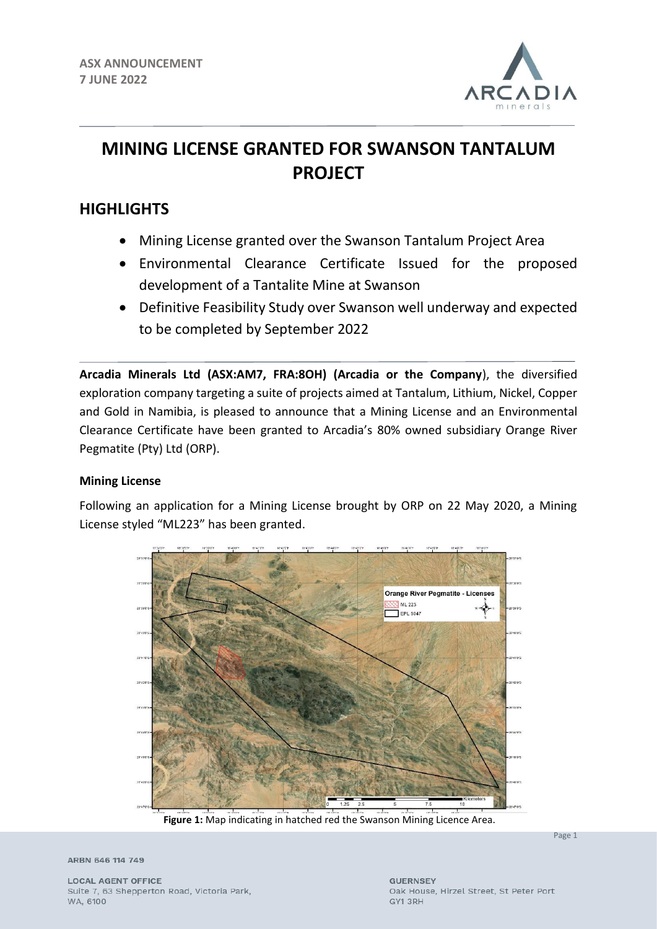

# **MINING LICENSE GRANTED FOR SWANSON TANTALUM PROJECT**

# **HIGHLIGHTS**

- Mining License granted over the Swanson Tantalum Project Area
- Environmental Clearance Certificate Issued for the proposed development of a Tantalite Mine at Swanson
- Definitive Feasibility Study over Swanson well underway and expected to be completed by September 2022

**Arcadia Minerals Ltd (ASX:AM7, FRA:8OH) (Arcadia or the Company**), the diversified exploration company targeting a suite of projects aimed at Tantalum, Lithium, Nickel, Copper and Gold in Namibia, is pleased to announce that a Mining License and an Environmental Clearance Certificate have been granted to Arcadia's 80% owned subsidiary Orange River Pegmatite (Pty) Ltd (ORP).

# **Mining License**

Following an application for a Mining License brought by ORP on 22 May 2020, a Mining License styled "ML223" has been granted.



**Figure 1:** Map indicating in hatched red the Swanson Mining Licence Area.

Page 1

ARBN 646 114 749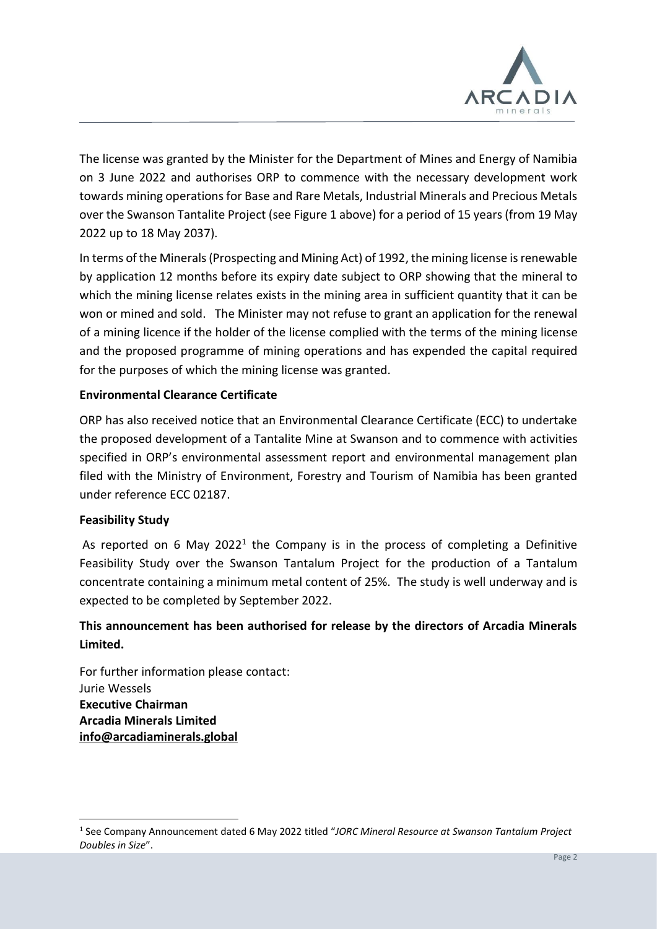

The license was granted by the Minister for the Department of Mines and Energy of Namibia on 3 June 2022 and authorises ORP to commence with the necessary development work towards mining operations for Base and Rare Metals, Industrial Minerals and Precious Metals over the Swanson Tantalite Project (see Figure 1 above) for a period of 15 years (from 19 May 2022 up to 18 May 2037).

In terms of the Minerals (Prospecting and Mining Act) of 1992, the mining license is renewable by application 12 months before its expiry date subject to ORP showing that the mineral to which the mining license relates exists in the mining area in sufficient quantity that it can be won or mined and sold. The Minister may not refuse to grant an application for the renewal of a mining licence if the holder of the license complied with the terms of the mining license and the proposed programme of mining operations and has expended the capital required for the purposes of which the mining license was granted.

### **Environmental Clearance Certificate**

ORP has also received notice that an Environmental Clearance Certificate (ECC) to undertake the proposed development of a Tantalite Mine at Swanson and to commence with activities specified in ORP's environmental assessment report and environmental management plan filed with the Ministry of Environment, Forestry and Tourism of Namibia has been granted under reference ECC 02187.

#### **Feasibility Study**

As reported on 6 May 2022<sup>1</sup> the Company is in the process of completing a Definitive Feasibility Study over the Swanson Tantalum Project for the production of a Tantalum concentrate containing a minimum metal content of 25%. The study is well underway and is expected to be completed by September 2022.

# **This announcement has been authorised for release by the directors of Arcadia Minerals Limited.**

For further information please contact: Jurie Wessels **Executive Chairman Arcadia Minerals Limited [info@arcadiaminerals.global](mailto:info@arcadiaminerals.global)**

<sup>1</sup> See Company Announcement dated 6 May 2022 titled "*JORC Mineral Resource at Swanson Tantalum Project Doubles in Size*".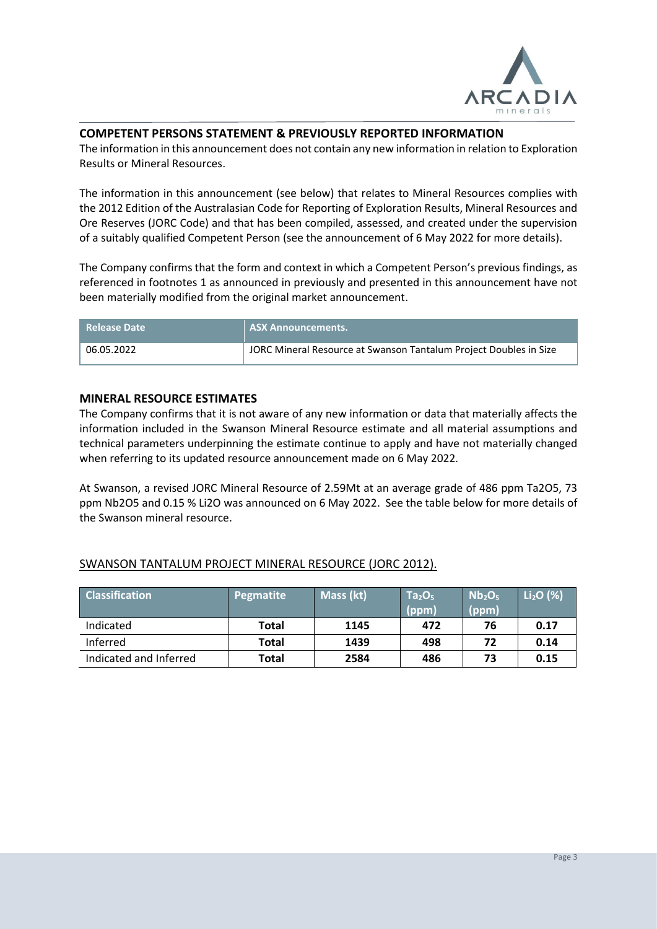

#### **COMPETENT PERSONS STATEMENT & PREVIOUSLY REPORTED INFORMATION**

The information in this announcement does not contain any new information in relation to Exploration Results or Mineral Resources.

The information in this announcement (see below) that relates to Mineral Resources complies with the 2012 Edition of the Australasian Code for Reporting of Exploration Results, Mineral Resources and Ore Reserves (JORC Code) and that has been compiled, assessed, and created under the supervision of a suitably qualified Competent Person (see the announcement of 6 May 2022 for more details).

The Company confirms that the form and context in which a Competent Person's previous findings, as referenced in footnotes 1 as announced in previously and presented in this announcement have not been materially modified from the original market announcement.

| l Release Date | <b>ASX Announcements.</b>                                         |
|----------------|-------------------------------------------------------------------|
| 06.05.2022     | JORC Mineral Resource at Swanson Tantalum Project Doubles in Size |

#### **MINERAL RESOURCE ESTIMATES**

The Company confirms that it is not aware of any new information or data that materially affects the information included in the Swanson Mineral Resource estimate and all material assumptions and technical parameters underpinning the estimate continue to apply and have not materially changed when referring to its updated resource announcement made on 6 May 2022*.* 

At Swanson, a revised JORC Mineral Resource of 2.59Mt at an average grade of 486 ppm Ta2O5, 73 ppm Nb2O5 and 0.15 % Li2O was announced on 6 May 2022. See the table below for more details of the Swanson mineral resource.

| <b>Classification</b>  | Pegmatite | Mass (kt) | Ta <sub>2</sub> O <sub>5</sub><br>(ppm) | Nb <sub>2</sub> O <sub>5</sub><br>(ppm) | $Li2O$ (%) |
|------------------------|-----------|-----------|-----------------------------------------|-----------------------------------------|------------|
| Indicated              | Total     | 1145      | 472                                     | 76                                      | 0.17       |
| Inferred               | Total     | 1439      | 498                                     | 72                                      | 0.14       |
| Indicated and Inferred | Total     | 2584      | 486                                     | 73                                      | 0.15       |

#### SWANSON TANTALUM PROJECT MINERAL RESOURCE (JORC 2012).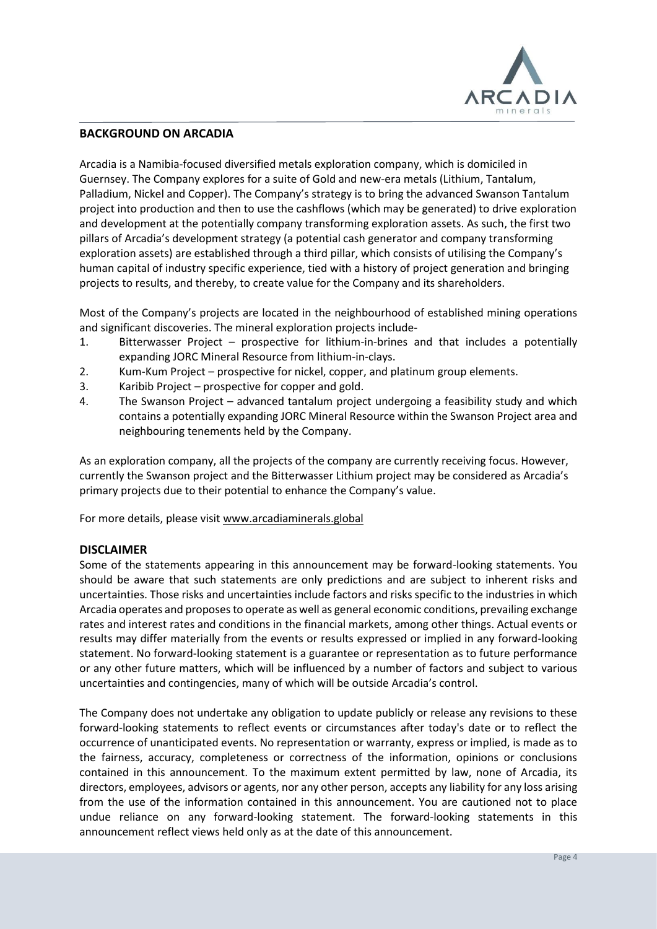

#### **BACKGROUND ON ARCADIA**

Arcadia is a Namibia-focused diversified metals exploration company, which is domiciled in Guernsey. The Company explores for a suite of Gold and new-era metals (Lithium, Tantalum, Palladium, Nickel and Copper). The Company's strategy is to bring the advanced Swanson Tantalum project into production and then to use the cashflows (which may be generated) to drive exploration and development at the potentially company transforming exploration assets. As such, the first two pillars of Arcadia's development strategy (a potential cash generator and company transforming exploration assets) are established through a third pillar, which consists of utilising the Company's human capital of industry specific experience, tied with a history of project generation and bringing projects to results, and thereby, to create value for the Company and its shareholders.

Most of the Company's projects are located in the neighbourhood of established mining operations and significant discoveries. The mineral exploration projects include-

- 1. Bitterwasser Project prospective for lithium-in-brines and that includes a potentially expanding JORC Mineral Resource from lithium-in-clays.
- 2. Kum-Kum Project prospective for nickel, copper, and platinum group elements.
- 3. Karibib Project prospective for copper and gold.
- 4. The Swanson Project advanced tantalum project undergoing a feasibility study and which contains a potentially expanding JORC Mineral Resource within the Swanson Project area and neighbouring tenements held by the Company.

As an exploration company, all the projects of the company are currently receiving focus. However, currently the Swanson project and the Bitterwasser Lithium project may be considered as Arcadia's primary projects due to their potential to enhance the Company's value.

For more details, please visit [www.arcadiaminerals.global](http://www.arcadiaminerals.global/)

#### **DISCLAIMER**

Some of the statements appearing in this announcement may be forward-looking statements. You should be aware that such statements are only predictions and are subject to inherent risks and uncertainties. Those risks and uncertainties include factors and risks specific to the industries in which Arcadia operates and proposes to operate as well as general economic conditions, prevailing exchange rates and interest rates and conditions in the financial markets, among other things. Actual events or results may differ materially from the events or results expressed or implied in any forward-looking statement. No forward-looking statement is a guarantee or representation as to future performance or any other future matters, which will be influenced by a number of factors and subject to various uncertainties and contingencies, many of which will be outside Arcadia's control.

The Company does not undertake any obligation to update publicly or release any revisions to these forward-looking statements to reflect events or circumstances after today's date or to reflect the occurrence of unanticipated events. No representation or warranty, express or implied, is made as to the fairness, accuracy, completeness or correctness of the information, opinions or conclusions contained in this announcement. To the maximum extent permitted by law, none of Arcadia, its directors, employees, advisors or agents, nor any other person, accepts any liability for any loss arising from the use of the information contained in this announcement. You are cautioned not to place undue reliance on any forward-looking statement. The forward-looking statements in this announcement reflect views held only as at the date of this announcement.